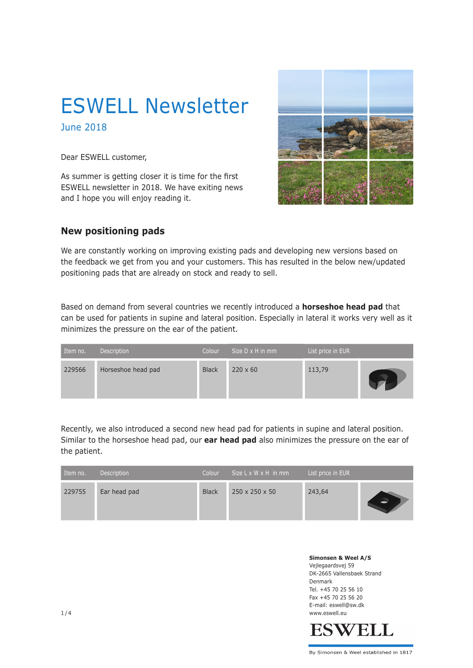# ESWELL Newsletter

June 2018

Dear ESWELL customer,

As summer is getting closer it is time for the first ESWELL newsletter in 2018. We have exiting news and I hope you will enjoy reading it.



### **New positioning pads**

We are constantly working on improving existing pads and developing new versions based on the feedback we get from you and your customers. This has resulted in the below new/updated positioning pads that are already on stock and ready to sell.

Based on demand from several countries we recently introduced a **horseshoe head pad** that can be used for patients in supine and lateral position. Especially in lateral it works very well as it minimizes the pressure on the ear of the patient.

| Item no. | Description        | Colour       | Size $D \times H$ in mm | List price in EUR |  |
|----------|--------------------|--------------|-------------------------|-------------------|--|
| 229566   | Horseshoe head pad | <b>Black</b> | $220 \times 60$         | 113,79            |  |

Recently, we also introduced a second new head pad for patients in supine and lateral position. Similar to the horseshoe head pad, our **ear head pad** also minimizes the pressure on the ear of the patient.

| Item no. | Description  | Colour       | Size L x W x H in mm       | List price in EUR |  |
|----------|--------------|--------------|----------------------------|-------------------|--|
| 229755   | Ear head pad | <b>Black</b> | $250 \times 250 \times 50$ | 243,64            |  |

**Simonsen & Weel A/S** Vejlegaardsvej 59 DK-2665 Vallensbaek Strand Denmark Tel. +45 70 25 56 10 Fax +45 70 25 56 20 E-mail: eswell@sw.dk 1/4 www.eswell.eu



By Simonsen & Weel established in 1817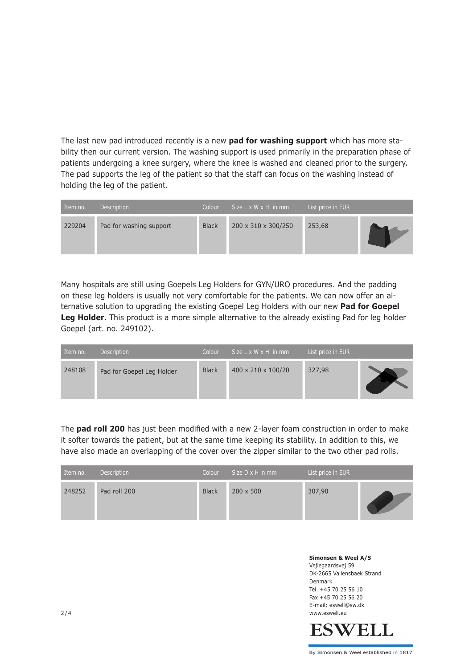The last new pad introduced recently is a new **pad for washing support** which has more stability then our current version. The washing support is used primarily in the preparation phase of patients undergoing a knee surgery, where the knee is washed and cleaned prior to the surgery. The pad supports the leg of the patient so that the staff can focus on the washing instead of holding the leg of the patient.

| Item no. | Description             | Colour       | Size $L \times W \times H$ in mm | List price in EUR |  |
|----------|-------------------------|--------------|----------------------------------|-------------------|--|
| 229204   | Pad for washing support | <b>Black</b> | 200 x 310 x 300/250              | 253,68            |  |

Many hospitals are still using Goepels Leg Holders for GYN/URO procedures. And the padding on these leg holders is usually not very comfortable for the patients. We can now offer an alternative solution to upgrading the existing Goepel Leg Holders with our new **Pad for Goepel**  Leg Holder. This product is a more simple alternative to the already existing Pad for leg holder Goepel (art. no. 249102).

| Item no. | Description               | Colour       | Size $L \times W \times H$ in mm | List price in EUR |  |
|----------|---------------------------|--------------|----------------------------------|-------------------|--|
| 248108   | Pad for Goepel Leg Holder | <b>Black</b> | 400 x 210 x 100/20               | 327,98            |  |

The **pad roll 200** has just been modified with a new 2-layer foam construction in order to make it softer towards the patient, but at the same time keeping its stability. In addition to this, we have also made an overlapping of the cover over the zipper similar to the two other pad rolls.

| Item no. | Description  | Colour       | Size $D \times H$ in mm | List price in EUR |  |
|----------|--------------|--------------|-------------------------|-------------------|--|
| 248252   | Pad roll 200 | <b>Black</b> | $200 \times 500$        | 307,90            |  |

**Simonsen & Weel A/S** Vejlegaardsvej 59 DK-2665 Vallensbaek Strand Denmark Tel. +45 70 25 56 10 Fax +45 70 25 56 20 E-mail: eswell@sw.dk 2 / 4 www.eswell.eu

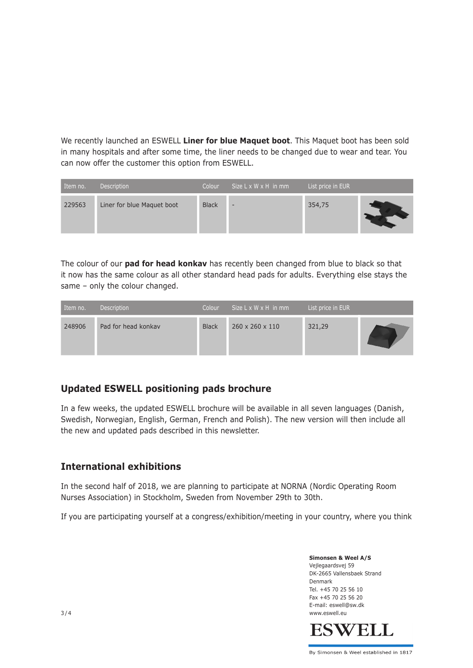We recently launched an ESWELL **Liner for blue Maquet boot**. This Maquet boot has been sold in many hospitals and after some time, the liner needs to be changed due to wear and tear. You can now offer the customer this option from ESWELL.

| Item no. | Description                | Colour       | Size $L \times W \times H$ in mm | List price in EUR |  |
|----------|----------------------------|--------------|----------------------------------|-------------------|--|
| 229563   | Liner for blue Maquet boot | <b>Black</b> | $\overline{\phantom{0}}$         | 354,75            |  |

The colour of our **pad for head konkav** has recently been changed from blue to black so that it now has the same colour as all other standard head pads for adults. Everything else stays the same – only the colour changed.

| Item no. | Description         | Colour       | Size L x W x H in mm        | List price in EUR |  |
|----------|---------------------|--------------|-----------------------------|-------------------|--|
| 248906   | Pad for head konkay | <b>Black</b> | $260 \times 260 \times 110$ | 321,29            |  |

## **Updated ESWELL positioning pads brochure**

In a few weeks, the updated ESWELL brochure will be available in all seven languages (Danish, Swedish, Norwegian, English, German, French and Polish). The new version will then include all the new and updated pads described in this newsletter.

## **International exhibitions**

In the second half of 2018, we are planning to participate at NORNA (Nordic Operating Room Nurses Association) in Stockholm, Sweden from November 29th to 30th.

If you are participating yourself at a congress/exhibition/meeting in your country, where you think

**Simonsen & Weel A/S** Vejlegaardsvej 59 DK-2665 Vallensbaek Strand Denmark Tel. +45 70 25 56 10 Fax +45 70 25 56 20 E-mail: eswell@sw.dk www.eswell.eu